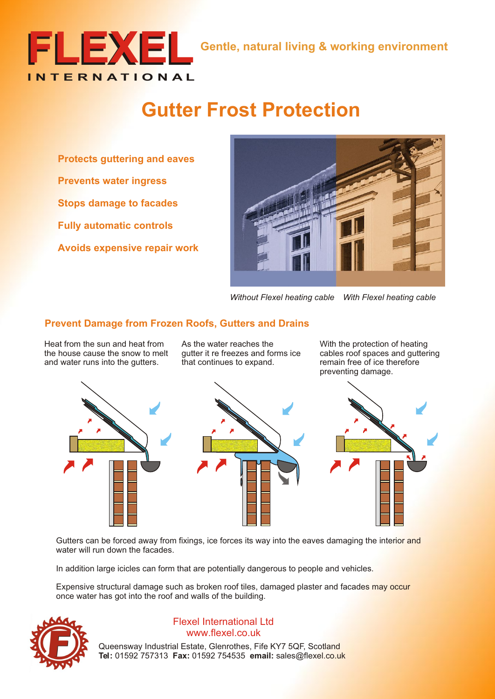

**Gentle, natural living & working environment** 

# **Gutter Frost Protection**

**Protects guttering and eaves Prevents water ingress Stops damage to facades Fully automatic controls Avoids expensive repair work**



*Without Flexel heating cable With Flexel heating cable*

### **Prevent Damage from Frozen Roofs, Gutters and Drains**

Heat from the sun and heat from the house cause the snow to melt and water runs into the gutters.

As the water reaches the gutter it re freezes and forms ice that continues to expand.

With the protection of heating cables roof spaces and guttering remain free of ice therefore preventing damage.







Gutters can be forced away from fixings, ice forces its way into the eaves damaging the interior and water will run down the facades.

In addition large icicles can form that are potentially dangerous to people and vehicles.

Expensive structural damage such as broken roof tiles, damaged plaster and facades may occur once water has got into the roof and walls of the building.



### Flexel International Ltd www.flexel.co.uk

Queensway Industrial Estate, Glenrothes, Fife KY7 5QF, Scotland **Tel:** 01592 757313 **Fax:** 01592 754535 **email:** sales@flexel.co.uk